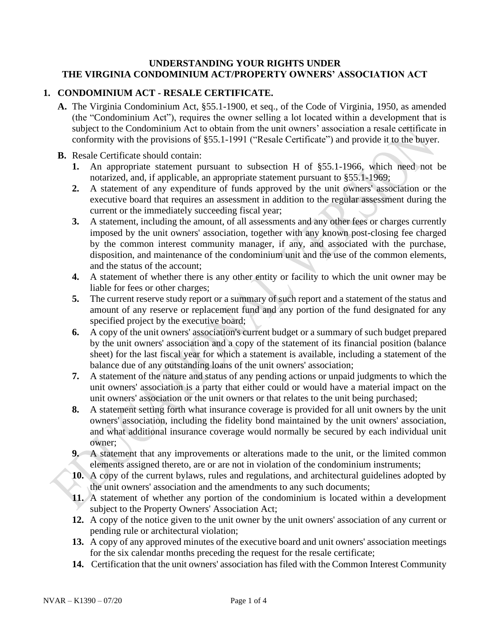### **UNDERSTANDING YOUR RIGHTS UNDER THE VIRGINIA CONDOMINIUM ACT/PROPERTY OWNERS' ASSOCIATION ACT**

# **1. CONDOMINIUM ACT - RESALE CERTIFICATE.**

**A.** The Virginia Condominium Act, §55.1-1900, et seq., of the Code of Virginia, 1950, as amended (the "Condominium Act"), requires the owner selling a lot located within a development that is subject to the Condominium Act to obtain from the unit owners' association a resale certificate in conformity with the provisions of §55.1-1991 ("Resale Certificate") and provide it to the buyer.

#### **B.** Resale Certificate should contain:

- **1.** An appropriate statement pursuant to subsection H of §55.1-1966, which need not be notarized, and, if applicable, an appropriate statement pursuant to §55.1-1969;
- **2.** A statement of any expenditure of funds approved by the unit owners' association or the executive board that requires an assessment in addition to the regular assessment during the current or the immediately succeeding fiscal year;
- **3.** A statement, including the amount, of all assessments and any other fees or charges currently imposed by the unit owners' association, together with any known post-closing fee charged by the common interest community manager, if any, and associated with the purchase, disposition, and maintenance of the condominium unit and the use of the common elements, and the status of the account;
- **4.** A statement of whether there is any other entity or facility to which the unit owner may be liable for fees or other charges;
- **5.** The current reserve study report or a summary of such report and a statement of the status and amount of any reserve or replacement fund and any portion of the fund designated for any specified project by the executive board;
- **6.** A copy of the unit owners' association's current budget or a summary of such budget prepared by the unit owners' association and a copy of the statement of its financial position (balance sheet) for the last fiscal year for which a statement is available, including a statement of the balance due of any outstanding loans of the unit owners' association;
- **7.** A statement of the nature and status of any pending actions or unpaid judgments to which the unit owners' association is a party that either could or would have a material impact on the unit owners' association or the unit owners or that relates to the unit being purchased;
- **8.** A statement setting forth what insurance coverage is provided for all unit owners by the unit owners' association, including the fidelity bond maintained by the unit owners' association, and what additional insurance coverage would normally be secured by each individual unit owner;
- **9.** A statement that any improvements or alterations made to the unit, or the limited common elements assigned thereto, are or are not in violation of the condominium instruments;
- **10.** A copy of the current bylaws, rules and regulations, and architectural guidelines adopted by the unit owners' association and the amendments to any such documents;
- **11.** A statement of whether any portion of the condominium is located within a development subject to the Property Owners' Association Act;
- **12.** A copy of the notice given to the unit owner by the unit owners' association of any current or pending rule or architectural violation;
- **13.** A copy of any approved minutes of the executive board and unit owners' association meetings for the six calendar months preceding the request for the resale certificate;
- **14.** Certification that the unit owners' association has filed with the Common Interest Community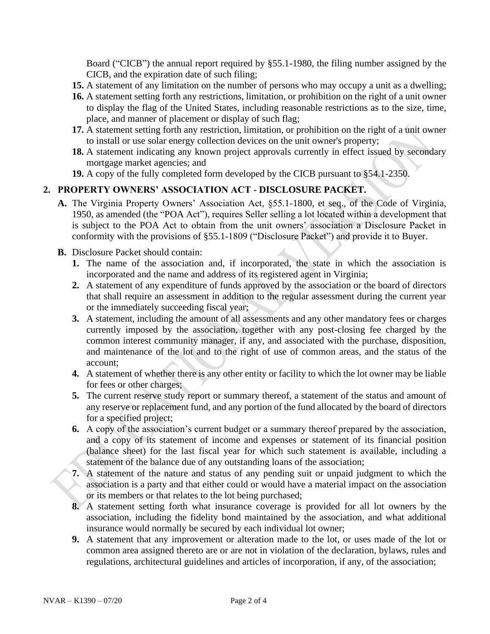Board ("CICB") the annual report required by §55.1-1980, the filing number assigned by the CICB, and the expiration date of such filing;

- **15.** A statement of any limitation on the number of persons who may occupy a unit as a dwelling;
- **16.** A statement setting forth any restrictions, limitation, or prohibition on the right of a unit owner to display the flag of the United States, including reasonable restrictions as to the size, time, place, and manner of placement or display of such flag;
- **17.** A statement setting forth any restriction, limitation, or prohibition on the right of a unit owner to install or use solar energy collection devices on the unit owner's property;
- **18.** A statement indicating any known project approvals currently in effect issued by secondary mortgage market agencies; and
- **19.** A copy of the fully completed form developed by the CICB pursuant to §54.1-2350.

# **2. PROPERTY OWNERS' ASSOCIATION ACT - DISCLOSURE PACKET.**

- **A.** The Virginia Property Owners' Association Act, §55.1-1800, et seq., of the Code of Virginia, 1950, as amended (the "POA Act"), requires Seller selling a lot located within a development that is subject to the POA Act to obtain from the unit owners' association a Disclosure Packet in conformity with the provisions of §55.1-1809 ("Disclosure Packet") and provide it to Buyer.
- **B.** Disclosure Packet should contain:
	- **1.** The name of the association and, if incorporated, the state in which the association is incorporated and the name and address of its registered agent in Virginia;
	- **2.** A statement of any expenditure of funds approved by the association or the board of directors that shall require an assessment in addition to the regular assessment during the current year or the immediately succeeding fiscal year;
	- **3.** A statement, including the amount of all assessments and any other mandatory fees or charges currently imposed by the association, together with any post-closing fee charged by the common interest community manager, if any, and associated with the purchase, disposition, and maintenance of the lot and to the right of use of common areas, and the status of the account;
	- **4.** A statement of whether there is any other entity or facility to which the lot owner may be liable for fees or other charges;
	- **5.** The current reserve study report or summary thereof, a statement of the status and amount of any reserve or replacement fund, and any portion of the fund allocated by the board of directors for a specified project;
	- **6.** A copy of the association's current budget or a summary thereof prepared by the association, and a copy of its statement of income and expenses or statement of its financial position (balance sheet) for the last fiscal year for which such statement is available, including a statement of the balance due of any outstanding loans of the association;
	- **7.** A statement of the nature and status of any pending suit or unpaid judgment to which the association is a party and that either could or would have a material impact on the association or its members or that relates to the lot being purchased;
	- **8.** A statement setting forth what insurance coverage is provided for all lot owners by the association, including the fidelity bond maintained by the association, and what additional insurance would normally be secured by each individual lot owner;
	- **9.** A statement that any improvement or alteration made to the lot, or uses made of the lot or common area assigned thereto are or are not in violation of the declaration, bylaws, rules and regulations, architectural guidelines and articles of incorporation, if any, of the association;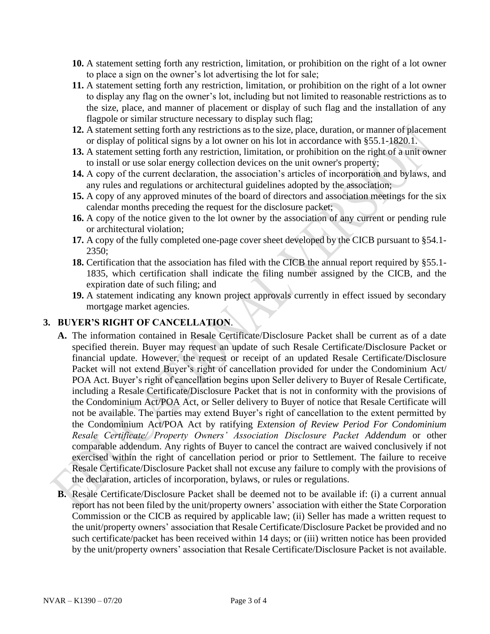- **10.** A statement setting forth any restriction, limitation, or prohibition on the right of a lot owner to place a sign on the owner's lot advertising the lot for sale;
- **11.** A statement setting forth any restriction, limitation, or prohibition on the right of a lot owner to display any flag on the owner's lot, including but not limited to reasonable restrictions as to the size, place, and manner of placement or display of such flag and the installation of any flagpole or similar structure necessary to display such flag;
- **12.** A statement setting forth any restrictions as to the size, place, duration, or manner of placement or display of political signs by a lot owner on his lot in accordance with §55.1-1820.1.
- **13.** A statement setting forth any restriction, limitation, or prohibition on the right of a unit owner to install or use solar energy collection devices on the unit owner's property;
- **14.** A copy of the current declaration, the association's articles of incorporation and bylaws, and any rules and regulations or architectural guidelines adopted by the association;
- **15.** A copy of any approved minutes of the board of directors and association meetings for the six calendar months preceding the request for the disclosure packet;
- **16.** A copy of the notice given to the lot owner by the association of any current or pending rule or architectural violation;
- **17.** A copy of the fully completed one-page cover sheet developed by the CICB pursuant to §54.1- 2350;
- **18.** Certification that the association has filed with the CICB the annual report required by §55.1- 1835, which certification shall indicate the filing number assigned by the CICB, and the expiration date of such filing; and
- **19.** A statement indicating any known project approvals currently in effect issued by secondary mortgage market agencies.

# **3. BUYER'S RIGHT OF CANCELLATION**.

- **A.** The information contained in Resale Certificate/Disclosure Packet shall be current as of a date specified therein. Buyer may request an update of such Resale Certificate/Disclosure Packet or financial update. However, the request or receipt of an updated Resale Certificate/Disclosure Packet will not extend Buyer's right of cancellation provided for under the Condominium Act/ POA Act. Buyer's right of cancellation begins upon Seller delivery to Buyer of Resale Certificate, including a Resale Certificate/Disclosure Packet that is not in conformity with the provisions of the Condominium Act/POA Act, or Seller delivery to Buyer of notice that Resale Certificate will not be available. The parties may extend Buyer's right of cancellation to the extent permitted by the Condominium Act/POA Act by ratifying *Extension of Review Period For Condominium Resale Certificate/ Property Owners' Association Disclosure Packet Addendum* or other comparable addendum. Any rights of Buyer to cancel the contract are waived conclusively if not exercised within the right of cancellation period or prior to Settlement. The failure to receive Resale Certificate/Disclosure Packet shall not excuse any failure to comply with the provisions of the declaration, articles of incorporation, bylaws, or rules or regulations.
- **B.** Resale Certificate/Disclosure Packet shall be deemed not to be available if: (i) a current annual report has not been filed by the unit/property owners' association with either the State Corporation Commission or the CICB as required by applicable law; (ii) Seller has made a written request to the unit/property owners' association that Resale Certificate/Disclosure Packet be provided and no such certificate/packet has been received within 14 days; or (iii) written notice has been provided by the unit/property owners' association that Resale Certificate/Disclosure Packet is not available.